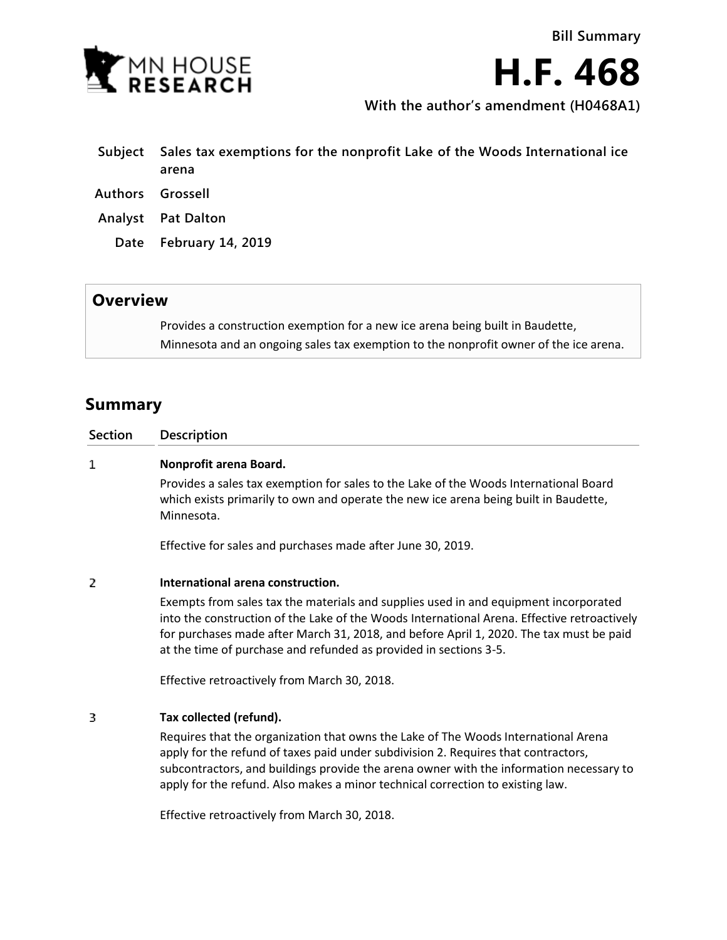

**H.F. 468**

**With the author's amendment (H0468A1)**

| Subiect          | Sales tax exemptions for the nonprofit Lake of the Woods International ice<br>arena |
|------------------|-------------------------------------------------------------------------------------|
| Authors Grossell |                                                                                     |
|                  | <b>Analyst</b> Pat Dalton                                                           |
|                  | Date February 14, 2019                                                              |
|                  |                                                                                     |

## **Overview**

Provides a construction exemption for a new ice arena being built in Baudette, Minnesota and an ongoing sales tax exemption to the nonprofit owner of the ice arena.

## **Summary**

| <b>Section</b> | <b>Description</b>                                                                                                                                                                                                                                                                                                  |
|----------------|---------------------------------------------------------------------------------------------------------------------------------------------------------------------------------------------------------------------------------------------------------------------------------------------------------------------|
| 1              | Nonprofit arena Board.                                                                                                                                                                                                                                                                                              |
|                | Provides a sales tax exemption for sales to the Lake of the Woods International Board<br>which exists primarily to own and operate the new ice arena being built in Baudette,<br>Minnesota.                                                                                                                         |
|                | Effective for sales and purchases made after June 30, 2019.                                                                                                                                                                                                                                                         |
| 2              | International arena construction.<br>Exempts from sales tax the materials and supplies used in and equipment incorporated<br>into the construction of the Lake of the Woods International Arena. Effective retroactively<br>for purchases made after March 31, 2018, and before April 1, 2020. The tax must be paid |

at the time of purchase and refunded as provided in sections 3-5.

Effective retroactively from March 30, 2018.

## 3 **Tax collected (refund).**

Requires that the organization that owns the Lake of The Woods International Arena apply for the refund of taxes paid under subdivision 2. Requires that contractors, subcontractors, and buildings provide the arena owner with the information necessary to apply for the refund. Also makes a minor technical correction to existing law.

Effective retroactively from March 30, 2018.